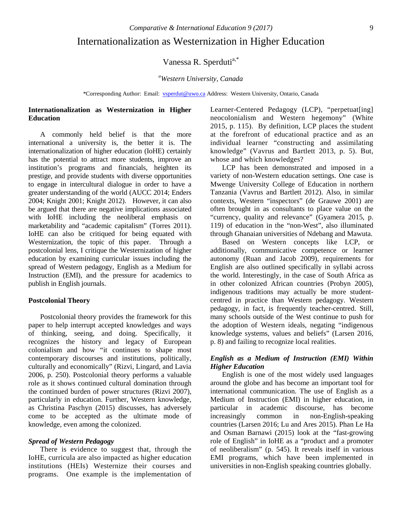# Internationalization as Westernization in Higher Education

Vanessa R. Sperduti<sup>a,\*</sup>

*a Western University, Canada*

\*Corresponding Author: Email: [vsperdut@uwo.ca](mailto:vsperdut@uwo.ca) Address: Western University, Ontario, Canada

# **Internationalization as Westernization in Higher Education**

A commonly held belief is that the more international a university is, the better it is. The internationalization of higher education (IoHE) certainly has the potential to attract more students, improve an institution's programs and financials, heighten its prestige, and provide students with diverse opportunities to engage in intercultural dialogue in order to have a greater understanding of the world (AUCC 2014; Enders 2004; Knight 2001; Knight 2012). However, it can also be argued that there are negative implications associated with IoHE including the neoliberal emphasis on marketability and "academic capitalism" (Torres 2011). IoHE can also be critiqued for being equated with Westernization, the topic of this paper. Through a postcolonial lens, I critique the Westernization of higher education by examining curricular issues including the spread of Western pedagogy, English as a Medium for Instruction (EMI), and the pressure for academics to publish in English journals.

## **Postcolonial Theory**

Postcolonial theory provides the framework for this paper to help interrupt accepted knowledges and ways of thinking, seeing, and doing. Specifically, it recognizes the history and legacy of European colonialism and how "it continues to shape most contemporary discourses and institutions, politically, culturally and economically" (Rizvi, Lingard, and Lavia 2006, p. 250). Postcolonial theory performs a valuable role as it shows continued cultural domination through the continued burden of power structures (Rizvi 2007), particularly in education. Further, Western knowledge, as Christina Paschyn (2015) discusses, has adversely come to be accepted as the ultimate mode of knowledge, even among the colonized.

# *Spread of Western Pedagogy*

There is evidence to suggest that, through the IoHE, curricula are also impacted as higher education institutions (HEIs) Westernize their courses and programs. One example is the implementation of Learner-Centered Pedagogy (LCP), "perpetuat[ing] neocolonialism and Western hegemony" (White 2015, p. 115). By definition, LCP places the student at the forefront of educational practice and as an individual learner "constructing and assimilating knowledge" (Vavrus and Bartlett 2013, p. 5). But, whose and which knowledges?

LCP has been demonstrated and imposed in a variety of non-Western education settings. One case is Mwenge University College of Education in northern Tanzania (Vavrus and Bartlett 2012). Also, in similar contexts, Western "inspectors" (de Grauwe 2001) are often brought in as consultants to place value on the "currency, quality and relevance" (Gyamera 2015, p. 119) of education in the "non-West", also illuminated through Ghanaian universities of Ndebang and Mawuta.

Based on Western concepts like LCP, or additionally, communicative competence or learner autonomy (Ruan and Jacob 2009), requirements for English are also outlined specifically in syllabi across the world. Interestingly, in the case of South Africa as in other colonized African countries (Probyn 2005), indigenous traditions may actually be more studentcentred in practice than Western pedagogy. Western pedagogy, in fact, is frequently teacher-centred. Still, many schools outside of the West continue to push for the adoption of Western ideals, negating "indigenous knowledge systems, values and beliefs" (Larsen 2016, p. 8) and failing to recognize local realities.

# *English as a Medium of Instruction (EMI) Within Higher Education*

English is one of the most widely used languages around the globe and has become an important tool for international communication. The use of English as a Medium of Instruction (EMI) in higher education, in particular in academic discourse, has become increasingly common in non-English-speaking countries (Larsen 2016; Lu and Ares 2015). Phan Le Ha and Osman Barnawi (2015) look at the "fast-growing role of English" in IoHE as a "product and a promoter of neoliberalism" (p. 545). It reveals itself in various EMI programs, which have been implemented in universities in non-English speaking countries globally.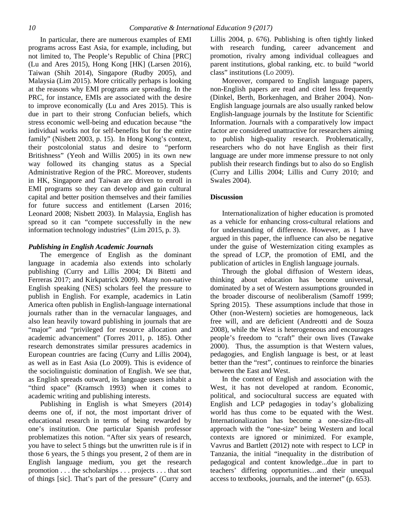In particular, there are numerous examples of EMI programs across East Asia, for example, including, but not limited to, The People's Republic of China [PRC] (Lu and Ares 2015), Hong Kong [HK] (Larsen 2016), Taiwan (Shih 2014), Singapore (Rudby 2005), and Malaysia (Lim 2015). More critically perhaps is looking at the reasons why EMI programs are spreading. In the PRC, for instance, EMIs are associated with the desire to improve economically (Lu and Ares 2015). This is due in part to their strong Confucian beliefs, which stress economic well-being and education because "the individual works not for self-benefits but for the entire family" (Nisbett 2003, p. 15). In Hong Kong's context, their postcolonial status and desire to "perform Britishness" (Yeoh and Willis 2005) in its own new way followed its changing status as a Special Administrative Region of the PRC. Moreover, students in HK, Singapore and Taiwan are driven to enroll in EMI programs so they can develop and gain cultural capital and better position themselves and their families for future success and entitlement (Larsen 2016; Leonard 2008; Nisbett 2003). In Malaysia, English has spread so it can "compete successfully in the new information technology industries" (Lim 2015, p. 3).

#### *Publishing in English Academic Journals*

The emergence of English as the dominant language in academia also extends into scholarly publishing (Curry and Lillis 2004; Di Bitetti and Ferreras 2017; and Kirkpatrick 2009). Many non-native English speaking (NES) scholars feel the pressure to publish in English. For example, academics in Latin America often publish in English-language international journals rather than in the vernacular languages, and also lean heavily toward publishing in journals that are "major" and "privileged for resource allocation and academic advancement" (Torres 2011, p. 185). Other research demonstrates similar pressures academics in European countries are facing (Curry and Lillis 2004), as well as in East Asia (Lo 2009). This is evidence of the sociolinguistic domination of English. We see that, as English spreads outward, its language users inhabit a "third space" (Kramsch 1993) when it comes to academic writing and publishing interests.

Publishing in English is what Smeyers (2014) deems one of, if not, the most important driver of educational research in terms of being rewarded by one's institution. One particular Spanish professor problematizes this notion. "After six years of research, you have to select 5 things but the unwritten rule is if in those 6 years, the 5 things you present, 2 of them are in English language medium, you get the research promotion . . . the scholarships . . . projects . . . that sort of things [sic]. That's part of the pressure" (Curry and

Lillis 2004, p. 676). Publishing is often tightly linked with research funding, career advancement and promotion, rivalry among individual colleagues and parent institutions, global ranking, etc. to build "world class" institutions (Lo 2009).

Moreover, compared to English language papers, non-English papers are read and cited less frequently (Dinkel, Berth, Borkenhagen, and Bräher 2004). Non-English language journals are also usually ranked below English-language journals by the Institute for Scientific Information. Journals with a comparatively low impact factor are considered unattractive for researchers aiming to publish high-quality research. Problematically, researchers who do not have English as their first language are under more immense pressure to not only publish their research findings but to also do so English (Curry and Lillis 2004; Lillis and Curry 2010; and Swales 2004).

#### **Discussion**

Internationalization of higher education is promoted as a vehicle for enhancing cross-cultural relations and for understanding of difference. However, as I have argued in this paper, the influence can also be negative under the guise of Westernization citing examples as the spread of LCP, the promotion of EMI, and the publication of articles in English language journals.

Through the global diffusion of Western ideas, thinking about education has become universal, dominated by a set of Western assumptions grounded in the broader discourse of neoliberalism (Samoff 1999; Spring 2015). These assumptions include that those in Other (non-Western) societies are homogeneous, lack free will, and are deficient (Andreotti and de Souza 2008), while the West is heterogeneous and encourages people's freedom to "craft" their own lives (Tawake 2000). Thus, the assumption is that Western values, pedagogies, and English language is best, or at least better than the "rest", continues to reinforce the binaries between the East and West.

In the context of English and association with the West, it has not developed at random. Economic, political, and sociocultural success are equated with English and LCP pedagogies in today's globalizing world has thus come to be equated with the West. Internationalization has become a one-size-fits-all approach with the "one-size" being Western and local contexts are ignored or minimized. For example, Vavrus and Bartlett (2012) note with respect to LCP in Tanzania, the initial "inequality in the distribution of pedagogical and content knowledge...due in part to teachers' differing opportunities…and their unequal access to textbooks, journals, and the internet" (p. 653).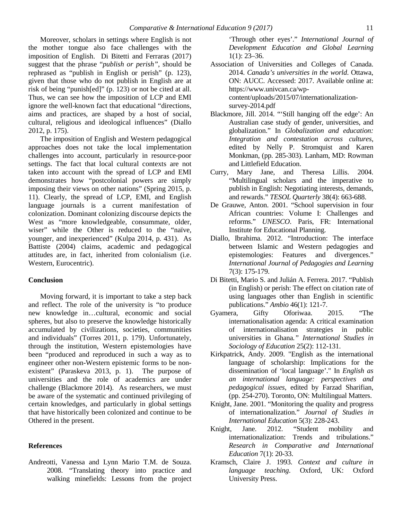Moreover, scholars in settings where English is not the mother tongue also face challenges with the imposition of English. Di Bitetti and Ferraras (2017) suggest that the phrase "*publish or perish"*, should be rephrased as "publish in English or perish" (p. 123), given that those who do not publish in English are at risk of being "punish[ed]" (p. 123) or not be cited at all. Thus, we can see how the imposition of LCP and EMI ignore the well-known fact that educational "directions, aims and practices, are shaped by a host of social, cultural, religious and ideological influences" (Diallo 2012, p. 175).

The imposition of English and Western pedagogical approaches does not take the local implementation challenges into account, particularly in resource-poor settings. The fact that local cultural contexts are not taken into account with the spread of LCP and EMI demonstrates how "postcolonial powers are simply imposing their views on other nations" (Spring 2015, p. 11). Clearly, the spread of LCP, EMI, and English language journals is a current manifestation of colonization. Dominant colonizing discourse depicts the West as "more knowledgeable, consummate, older, wiser" while the Other is reduced to the "naïve, younger, and inexperienced" (Kulpa 2014, p. 431). As Battiste (2004) claims, academic and pedagogical attitudes are, in fact, inherited from colonialism (i.e. Western, Eurocentric).

## **Conclusion**

Moving forward, it is important to take a step back and reflect. The role of the university is "to produce new knowledge in…cultural, economic and social spheres, but also to preserve the knowledge historically accumulated by civilizations, societies, communities and individuals" (Torres 2011, p. 179). Unfortunately, through the institution, Western epistemologies have been "produced and reproduced in such a way as to engineer other non-Western epistemic forms to be nonexistent" (Paraskeva 2013, p. 1). The purpose of universities and the role of academics are under challenge (Blackmore 2014). As researchers, we must be aware of the systematic and continued privileging of certain knowledges, and particularly in global settings that have historically been colonized and continue to be Othered in the present.

#### **References**

Andreotti, Vanessa and Lynn Mario T.M. de Souza. 2008. "Translating theory into practice and walking minefields: Lessons from the project 'Through other eyes'." *International Journal of Development Education and Global Learning*  $1(1)$ : 23–36.

Association of Universities and Colleges of Canada. 2014. *Canada's universities in the world*. Ottawa, ON: AUCC. Accessed: 2017. Available online at: https://www.univcan.ca/wpcontent/uploads/2015/07/internationalization-

survey-2014.pdf

- Blackmore, Jill. 2014. "'Still hanging off the edge': An Australian case study of gender, universities, and globalization." In *Globalization and education: Integration and contestation across cultures*, edited by Nelly P. Stromquist and Karen Monkman, (pp. 285-303). Lanham, MD: Rowman and Littlefield Education.
- Curry, Mary Jane, and Theresa Lillis. 2004. "Multilingual scholars and the imperative to publish in English: Negotiating interests, demands, and rewards." *TESOL Quarterly* 38(4): 663-688.
- De Grauwe, Anton. 2001. "School supervision in four African countries: Volume I: Challenges and reforms." *UNESCO*. Paris, FR: International Institute for Educational Planning.
- Diallo, Ibrahima. 2012. "Introduction: The interface between Islamic and Western pedagogies and epistemologies: Features and divergences." *International Journal of Pedagogies and Learning* 7(3): 175-179.
- Di Bitetti, Mario S. and Julián A. Ferrera. 2017. "Publish (in English) or perish: The effect on citation rate of using languages other than English in scientific publications." *Ambio* 46(1): 121-7.
- Gyamera, Gifty Oforiwaa. 2015. "The internationalisation agenda: A critical examination of internationalisation strategies in public universities in Ghana*." International Studies in Sociology of Education* 25(2): 112-131.
- Kirkpatrick, Andy. 2009. "English as the international language of scholarship: Implications for the dissemination of 'local language'." In *English as an international language: perspectives and pedagogical issues*, edited by Farzad Sharifian, (pp. 254-270). Toronto, ON: Multilingual Matters.
- Knight, Jane. 2001. "Monitoring the quality and progress of internationalization." *Journal of Studies in International Education* 5(3): 228-243.
- Knight, Jane. 2012. "Student mobility and internationalization: Trends and tribulations." *Research in Comparative and International Education* 7(1): 20-33.
- Kramsch, Claire J. 1993. *Context and culture in language teaching*. Oxford, UK: Oxford University Press.